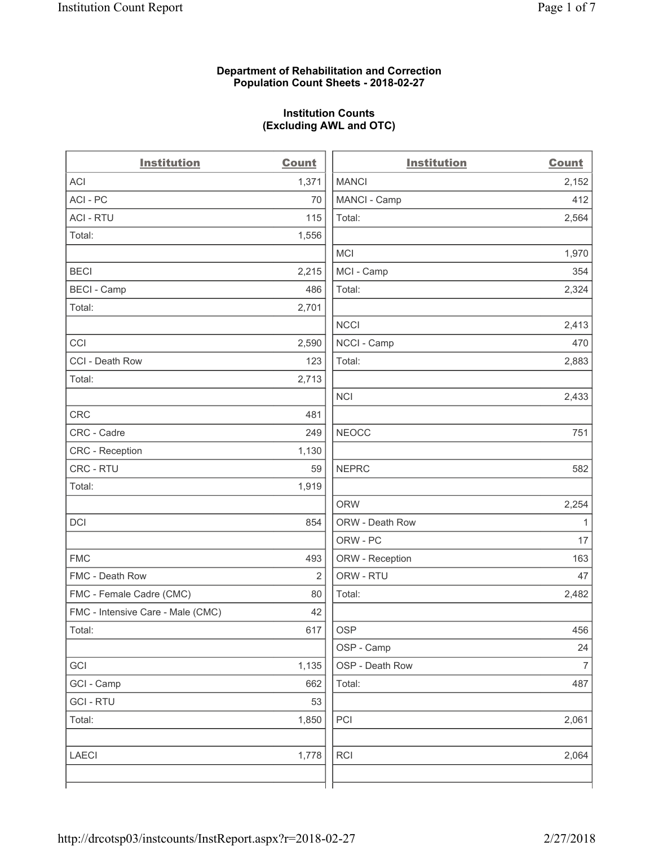## **Department of Rehabilitation and Correction Population Count Sheets - 2018-02-27**

## **Institution Counts (Excluding AWL and OTC)**

 $\overline{a}$ 

| <b>Institution</b>                | <b>Count</b> | <b>Institution</b> | <b>Count</b>             |
|-----------------------------------|--------------|--------------------|--------------------------|
| ACI                               | 1,371        | <b>MANCI</b>       | 2,152                    |
| ACI - PC                          | 70           | MANCI - Camp       | 412                      |
| <b>ACI - RTU</b>                  | 115          | Total:             | 2,564                    |
| Total:                            | 1,556        |                    |                          |
|                                   |              | MCI                | 1,970                    |
| <b>BECI</b>                       | 2,215        | MCI - Camp         | 354                      |
| <b>BECI</b> - Camp                | 486          | Total:             | 2,324                    |
| Total:                            | 2,701        |                    |                          |
|                                   |              | <b>NCCI</b>        | 2,413                    |
| CCI                               | 2,590        | NCCI - Camp        | 470                      |
| CCI - Death Row                   | 123          | Total:             | 2,883                    |
| Total:                            | 2,713        |                    |                          |
|                                   |              | <b>NCI</b>         | 2,433                    |
| <b>CRC</b>                        | 481          |                    |                          |
| CRC - Cadre                       | 249          | <b>NEOCC</b>       | 751                      |
| CRC - Reception                   | 1,130        |                    |                          |
| CRC - RTU                         | 59           | <b>NEPRC</b>       | 582                      |
| Total:                            | 1,919        |                    |                          |
|                                   |              | <b>ORW</b>         | 2,254                    |
| DCI                               | 854          | ORW - Death Row    | 1                        |
|                                   |              | ORW - PC           | 17                       |
| <b>FMC</b>                        | 493          | ORW - Reception    | 163                      |
| FMC - Death Row                   | 2            | ORW - RTU          | 47                       |
| FMC - Female Cadre (CMC)          | 80           | Total:             | 2,482                    |
| FMC - Intensive Care - Male (CMC) | 42           |                    |                          |
| Total:                            | 617          | <b>OSP</b>         | 456                      |
|                                   |              | OSP - Camp         | 24                       |
| GCI                               | 1,135        | OSP - Death Row    | $\overline{\mathcal{I}}$ |
| GCI - Camp                        | 662          | Total:             | 487                      |
| <b>GCI - RTU</b>                  | 53           |                    |                          |
| Total:                            | 1,850        | PCI                | 2,061                    |
| <b>LAECI</b>                      | 1,778        | <b>RCI</b>         | 2,064                    |
|                                   |              |                    |                          |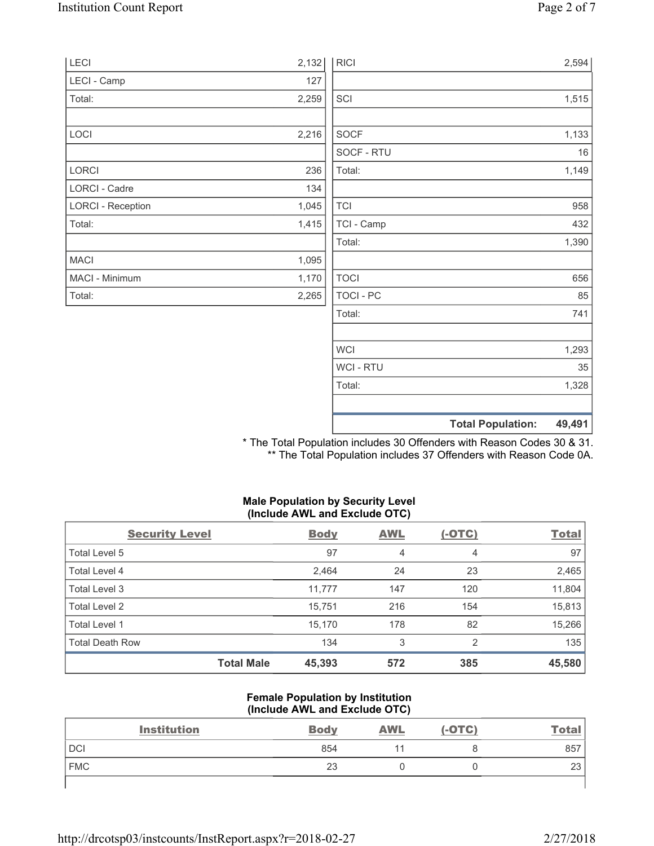| LECI                     | 2,132 | <b>RICI</b>    |                          | 2,594  |
|--------------------------|-------|----------------|--------------------------|--------|
| LECI - Camp              | 127   |                |                          |        |
| Total:                   | 2,259 | SCI            |                          | 1,515  |
| LOCI                     | 2,216 | SOCF           |                          | 1,133  |
|                          |       | SOCF - RTU     |                          | 16     |
| LORCI                    | 236   | Total:         |                          | 1,149  |
| LORCI - Cadre            | 134   |                |                          |        |
| <b>LORCI - Reception</b> | 1,045 | <b>TCI</b>     |                          | 958    |
| Total:                   | 1,415 | TCI - Camp     |                          | 432    |
|                          |       | Total:         |                          | 1,390  |
| <b>MACI</b>              | 1,095 |                |                          |        |
| MACI - Minimum           | 1,170 | <b>TOCI</b>    |                          | 656    |
| Total:                   | 2,265 | TOCI - PC      |                          | 85     |
|                          |       | Total:         |                          | 741    |
|                          |       | <b>WCI</b>     |                          | 1,293  |
|                          |       | <b>WCI-RTU</b> |                          | 35     |
|                          |       | Total:         |                          | 1,328  |
|                          |       |                |                          |        |
|                          |       |                | <b>Total Population:</b> | 49,491 |

\* The Total Population includes 30 Offenders with Reason Codes 30 & 31. \*\* The Total Population includes 37 Offenders with Reason Code 0A.

## **Male Population by Security Level (Include AWL and Exclude OTC)**

| <b>Security Level</b>  |                   | <b>Body</b> | <b>AWL</b> | $(-OTC)$ | <b>Total</b> |
|------------------------|-------------------|-------------|------------|----------|--------------|
| Total Level 5          |                   | 97          | 4          | 4        | 97           |
| <b>Total Level 4</b>   |                   | 2,464       | 24         | 23       | 2,465        |
| Total Level 3          |                   | 11,777      | 147        | 120      | 11,804       |
| Total Level 2          |                   | 15,751      | 216        | 154      | 15,813       |
| Total Level 1          |                   | 15,170      | 178        | 82       | 15,266       |
| <b>Total Death Row</b> |                   | 134         | 3          | 2        | 135          |
|                        | <b>Total Male</b> | 45,393      | 572        | 385      | 45,580       |

#### **Female Population by Institution (Include AWL and Exclude OTC)**

| <b>Institution</b> | <b>Body</b> | <b>AWL</b> | $(-OTC)$ | <u>Total</u> |
|--------------------|-------------|------------|----------|--------------|
| <b>DCI</b>         | 854         |            |          | 857          |
| <b>FMC</b>         | 23          |            |          | 23           |
|                    |             |            |          |              |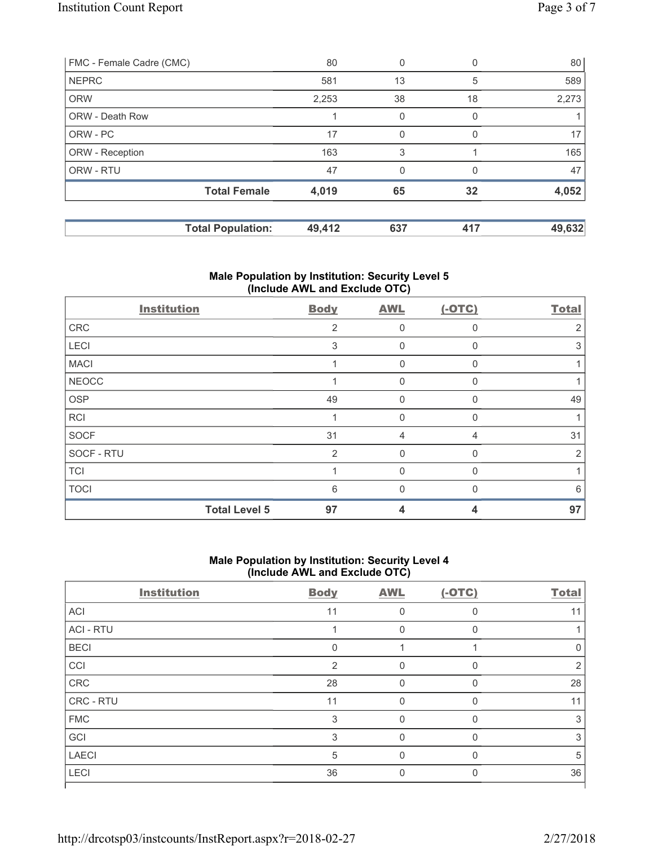| <b>Total Population:</b> | 49,412 | 637      | 417          | 49,632 |
|--------------------------|--------|----------|--------------|--------|
| <b>Total Female</b>      | 4,019  | 65       | 32           | 4,052  |
| ORW - RTU                | 47     | $\Omega$ | <sup>0</sup> | 47     |
| ORW - Reception          | 163    | 3        |              | 165    |
| ORW - PC                 | 17     |          |              | 17     |
| <b>ORW - Death Row</b>   |        | $\Omega$ |              |        |
| <b>ORW</b>               | 2,253  | 38       | 18           | 2,273  |
| <b>NEPRC</b>             | 581    | 13       | 5            | 589    |
| FMC - Female Cadre (CMC) | 80     | 0        |              | 80     |

# **Male Population by Institution: Security Level 5 (Include AWL and Exclude OTC)**

| <b>Institution</b> |                      | <b>Body</b> | <b>AWL</b>   | $(-OTC)$ | <b>Total</b>   |
|--------------------|----------------------|-------------|--------------|----------|----------------|
| CRC                |                      | 2           | $\mathbf 0$  | 0        | $\overline{2}$ |
| LECI               |                      | 3           | 0            | 0        | 3              |
| <b>MACI</b>        |                      |             | 0            | U        |                |
| <b>NEOCC</b>       |                      |             | $\Omega$     | 0        |                |
| OSP                |                      | 49          | $\Omega$     | 0        | 49             |
| RCI                |                      |             | $\Omega$     | 0        |                |
| <b>SOCF</b>        |                      | 31          | 4            | 4        | 31             |
| SOCF - RTU         |                      | 2           | $\mathbf{0}$ | 0        | 2              |
| <b>TCI</b>         |                      |             | $\mathbf{0}$ | 0        |                |
| <b>TOCI</b>        |                      | 6           | $\Omega$     |          | 6              |
|                    | <b>Total Level 5</b> | 97          | 4            | 4        | 97             |

## **Male Population by Institution: Security Level 4 (Include AWL and Exclude OTC)**

| <b>Institution</b> | <b>Body</b> | <b>AWL</b> | $(-OTC)$     | <b>Total</b>  |
|--------------------|-------------|------------|--------------|---------------|
| ACI                | 11          | 0          | 0            | 11            |
| <b>ACI - RTU</b>   |             | 0          | $\mathbf{0}$ |               |
| <b>BECI</b>        | 0           |            |              | 0             |
| CCI                | 2           | $\Omega$   | $\Omega$     | $\mathcal{P}$ |
| CRC                | 28          | 0          | $\Omega$     | 28            |
| CRC - RTU          | 11          |            | 0            | 11            |
| <b>FMC</b>         | 3           | 0          | $\Omega$     | 3             |
| GCI                | 3           | $\Omega$   | 0            | 3             |
| <b>LAECI</b>       | 5           | $\Omega$   | $\Omega$     | 5             |
| LECI               | 36          | 0          | 0            | 36            |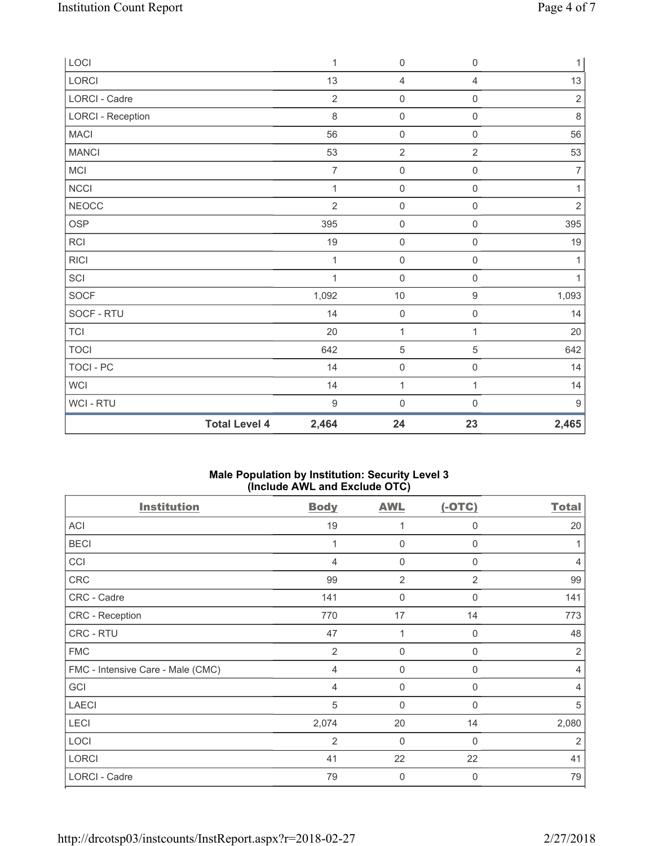| LOCI                     |                      | 1              | $\mathbf 0$         | $\mathsf{O}\xspace$ | 1              |
|--------------------------|----------------------|----------------|---------------------|---------------------|----------------|
| LORCI                    |                      | 13             | $\overline{4}$      | $\overline{4}$      | 13             |
| LORCI - Cadre            |                      | $\overline{2}$ | $\mathsf 0$         | $\mathsf{O}\xspace$ | $\sqrt{2}$     |
| <b>LORCI - Reception</b> |                      | 8              | $\mathsf{O}\xspace$ | $\mathsf{O}\xspace$ | $\,8\,$        |
| <b>MACI</b>              |                      | 56             | $\mathbf 0$         | $\mathsf{O}\xspace$ | 56             |
| <b>MANCI</b>             |                      | 53             | $\sqrt{2}$          | $\overline{2}$      | 53             |
| MCI                      |                      | $\overline{7}$ | $\mathsf{O}\xspace$ | 0                   | $\overline{7}$ |
| <b>NCCI</b>              |                      | 1              | $\mathsf 0$         | $\mathsf{O}\xspace$ | 1              |
| <b>NEOCC</b>             |                      | $\overline{2}$ | $\mathsf 0$         | $\mathsf{O}\xspace$ | $\sqrt{2}$     |
| OSP                      |                      | 395            | $\mathbf 0$         | $\mathsf{O}\xspace$ | 395            |
| RCI                      |                      | 19             | $\mathsf 0$         | $\mathsf{O}\xspace$ | 19             |
| <b>RICI</b>              |                      | $\mathbf{1}$   | $\mathbf 0$         | $\mathsf{O}\xspace$ | $\mathbf{1}$   |
| SCI                      |                      | 1              | $\mathbf 0$         | $\mathsf{O}\xspace$ | $\mathbf{1}$   |
| SOCF                     |                      | 1,092          | $10$                | $\mathsf g$         | 1,093          |
| SOCF - RTU               |                      | 14             | $\mathbf 0$         | $\mathsf{O}\xspace$ | 14             |
| <b>TCI</b>               |                      | 20             | $\mathbf{1}$        | 1                   | 20             |
| <b>TOCI</b>              |                      | 642            | $\,$ 5 $\,$         | $\,$ 5 $\,$         | 642            |
| <b>TOCI - PC</b>         |                      | 14             | $\mathsf 0$         | $\mathsf{O}\xspace$ | 14             |
| <b>WCI</b>               |                      | 14             | $\mathbf{1}$        | $\mathbf{1}$        | 14             |
| WCI - RTU                |                      | $\overline{9}$ | $\mathbf 0$         | 0                   | $9\,$          |
|                          | <b>Total Level 4</b> | 2,464          | 24                  | 23                  | 2,465          |

## **Male Population by Institution: Security Level 3 (Include AWL and Exclude OTC)**

| <b>Institution</b>                | <b>Body</b>    | <b>AWL</b>   | $(-OTC)$     | <b>Total</b> |
|-----------------------------------|----------------|--------------|--------------|--------------|
| <b>ACI</b>                        | 19             | 1            | $\mathbf 0$  | 20           |
| <b>BECI</b>                       | 1              | $\mathbf 0$  | $\mathbf 0$  |              |
| CCI                               | 4              | 0            | 0            | 4            |
| CRC                               | 99             | 2            | 2            | 99           |
| CRC - Cadre                       | 141            | $\mathbf 0$  | $\mathbf{0}$ | 141          |
| CRC - Reception                   | 770            | 17           | 14           | 773          |
| CRC - RTU                         | 47             | 1            | $\Omega$     | 48           |
| <b>FMC</b>                        | $\overline{2}$ | $\mathbf{0}$ | $\mathbf 0$  | 2            |
| FMC - Intensive Care - Male (CMC) | $\overline{4}$ | 0            | 0            | 4            |
| GCI                               | $\overline{4}$ | $\mathbf{0}$ | $\Omega$     | 4            |
| <b>LAECI</b>                      | 5              | $\mathbf{0}$ | $\Omega$     | 5            |
| LECI                              | 2,074          | 20           | 14           | 2,080        |
| LOCI                              | 2              | $\mathbf{0}$ | $\Omega$     | 2            |
| <b>LORCI</b>                      | 41             | 22           | 22           | 41           |
| LORCI - Cadre                     | 79             | $\mathbf 0$  | $\Omega$     | 79           |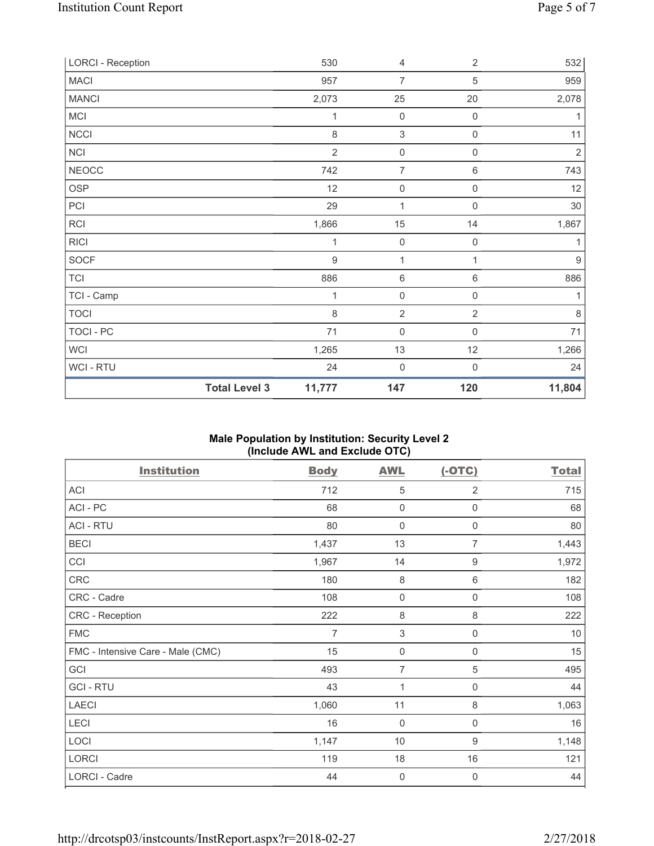| <b>LORCI - Reception</b> |                      | 530            | 4                   | $\overline{2}$      | 532            |
|--------------------------|----------------------|----------------|---------------------|---------------------|----------------|
| <b>MACI</b>              |                      | 957            | 7                   | 5                   | 959            |
| <b>MANCI</b>             |                      | 2,073          | 25                  | 20                  | 2,078          |
| MCI                      |                      | 1              | $\mathbf 0$         | $\boldsymbol{0}$    | 1              |
| NCCI                     |                      | 8              | 3                   | $\mathsf{O}\xspace$ | 11             |
| <b>NCI</b>               |                      | $\overline{2}$ | $\mathsf{O}\xspace$ | $\boldsymbol{0}$    | $\overline{2}$ |
| <b>NEOCC</b>             |                      | 742            | $\overline{7}$      | 6                   | 743            |
| <b>OSP</b>               |                      | 12             | $\mathbf 0$         | $\boldsymbol{0}$    | 12             |
| PCI                      |                      | 29             | 1                   | 0                   | 30             |
| <b>RCI</b>               |                      | 1,866          | 15                  | 14                  | 1,867          |
| <b>RICI</b>              |                      | 1              | $\mathbf 0$         | 0                   | 1              |
| <b>SOCF</b>              |                      | $9\,$          | $\mathbf{1}$        | 1                   | $9\,$          |
| <b>TCI</b>               |                      | 886            | $\,6\,$             | 6                   | 886            |
| TCI - Camp               |                      | 1              | $\mathsf{O}\xspace$ | 0                   | 1              |
| <b>TOCI</b>              |                      | 8              | $\overline{2}$      | $\overline{2}$      | $\,8\,$        |
| TOCI - PC                |                      | 71             | $\mathbf 0$         | $\boldsymbol{0}$    | 71             |
| <b>WCI</b>               |                      | 1,265          | 13                  | 12                  | 1,266          |
| WCI - RTU                |                      | 24             | $\mathbf 0$         | $\mathsf 0$         | 24             |
|                          | <b>Total Level 3</b> | 11,777         | 147                 | 120                 | 11,804         |

# **Male Population by Institution: Security Level 2 (Include AWL and Exclude OTC)**

| <b>Institution</b>                | <b>Body</b>    | <b>AWL</b>          | $(-OTC)$            | <b>Total</b> |
|-----------------------------------|----------------|---------------------|---------------------|--------------|
| ACI                               | 712            | 5                   | 2                   | 715          |
| ACI - PC                          | 68             | $\mathbf 0$         | $\mathsf 0$         | 68           |
| <b>ACI - RTU</b>                  | 80             | $\mathbf 0$         | $\mathsf 0$         | 80           |
| <b>BECI</b>                       | 1,437          | 13                  | $\overline{7}$      | 1,443        |
| CCI                               | 1,967          | 14                  | $\boldsymbol{9}$    | 1,972        |
| CRC                               | 180            | $\,8\,$             | 6                   | 182          |
| CRC - Cadre                       | 108            | $\overline{0}$      | 0                   | 108          |
| CRC - Reception                   | 222            | 8                   | 8                   | 222          |
| <b>FMC</b>                        | $\overline{7}$ | $\sqrt{3}$          | $\mathsf 0$         | $10$         |
| FMC - Intensive Care - Male (CMC) | 15             | $\mathsf{O}\xspace$ | $\mathsf{O}\xspace$ | 15           |
| GCI                               | 493            | $\overline{7}$      | $\sqrt{5}$          | 495          |
| <b>GCI-RTU</b>                    | 43             | 1                   | $\mathsf 0$         | 44           |
| <b>LAECI</b>                      | 1,060          | 11                  | 8                   | 1,063        |
| LECI                              | 16             | $\mathbf 0$         | $\mathbf 0$         | 16           |
| LOCI                              | 1,147          | 10                  | 9                   | 1,148        |
| LORCI                             | 119            | 18                  | 16                  | 121          |
| <b>LORCI - Cadre</b>              | 44             | $\mathbf 0$         | $\boldsymbol{0}$    | 44           |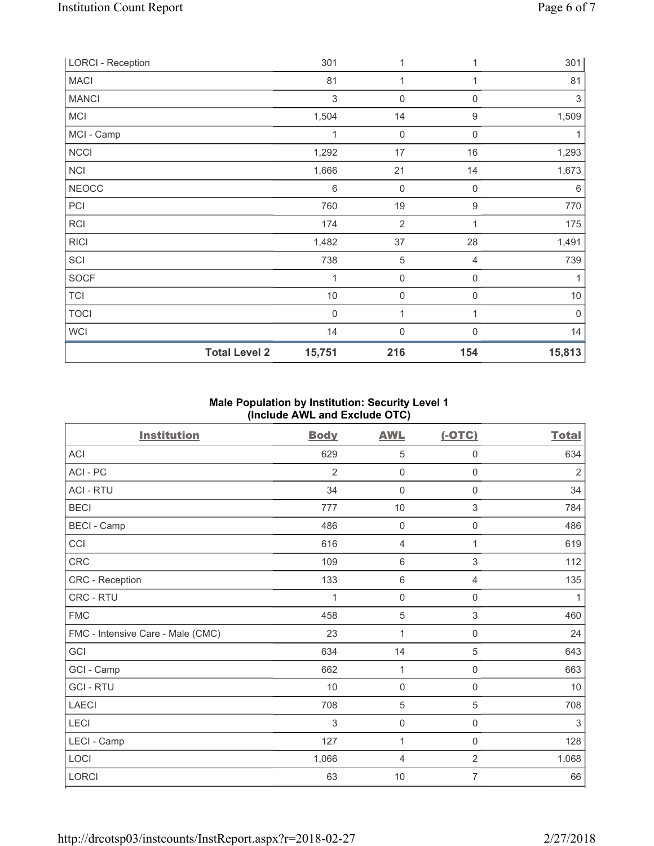| <b>LORCI - Reception</b> |                      | 301         | 1                   | 1           | 301    |
|--------------------------|----------------------|-------------|---------------------|-------------|--------|
| <b>MACI</b>              |                      | 81          | $\mathbf 1$         |             | 81     |
| <b>MANCI</b>             |                      | $\,$ 3 $\,$ | 0                   | $\mathsf 0$ | 3      |
| <b>MCI</b>               |                      | 1,504       | 14                  | 9           | 1,509  |
| MCI - Camp               |                      | 1           | $\mathbf 0$         | $\mathbf 0$ |        |
| <b>NCCI</b>              |                      | 1,292       | 17                  | 16          | 1,293  |
| <b>NCI</b>               |                      | 1,666       | 21                  | 14          | 1,673  |
| <b>NEOCC</b>             |                      | $\,6\,$     | $\mathbf 0$         | $\mathbf 0$ | 6      |
| PCI                      |                      | 760         | 19                  | 9           | 770    |
| <b>RCI</b>               |                      | 174         | $\overline{2}$      | 1           | 175    |
| <b>RICI</b>              |                      | 1,482       | 37                  | 28          | 1,491  |
| SCI                      |                      | 738         | 5                   | 4           | 739    |
| <b>SOCF</b>              |                      | 1           | 0                   | $\mathbf 0$ | 1      |
| <b>TCI</b>               |                      | $10$        | $\mathsf{O}\xspace$ | $\mathbf 0$ | $10$   |
| <b>TOCI</b>              |                      | $\mathbf 0$ | 1                   | 1           | 0      |
| <b>WCI</b>               |                      | 14          | 0                   | $\Omega$    | 14     |
|                          | <b>Total Level 2</b> | 15,751      | 216                 | 154         | 15,813 |

## **Male Population by Institution: Security Level 1 (Include AWL and Exclude OTC)**

| <b>Institution</b>                | <b>Body</b>    | <b>AWL</b>          | $(-OTC)$            | <b>Total</b>   |
|-----------------------------------|----------------|---------------------|---------------------|----------------|
| <b>ACI</b>                        | 629            | 5                   | 0                   | 634            |
| ACI - PC                          | $\overline{2}$ | $\mathsf{O}\xspace$ | $\mathsf{O}\xspace$ | $\overline{2}$ |
| <b>ACI - RTU</b>                  | 34             | $\mathbf 0$         | 0                   | 34             |
| <b>BECI</b>                       | 777            | 10                  | 3                   | 784            |
| <b>BECI</b> - Camp                | 486            | $\mathbf 0$         | 0                   | 486            |
| CCI                               | 616            | 4                   | 1                   | 619            |
| CRC                               | 109            | 6                   | 3                   | 112            |
| CRC - Reception                   | 133            | $6\,$               | 4                   | 135            |
| CRC - RTU                         | 1              | $\mathsf{O}\xspace$ | $\mathsf{O}\xspace$ | $\mathbf{1}$   |
| <b>FMC</b>                        | 458            | $\sqrt{5}$          | $\,$ 3 $\,$         | 460            |
| FMC - Intensive Care - Male (CMC) | 23             | 1                   | 0                   | 24             |
| GCI                               | 634            | 14                  | 5                   | 643            |
| GCI - Camp                        | 662            | $\mathbf{1}$        | 0                   | 663            |
| <b>GCI-RTU</b>                    | 10             | $\mathbf 0$         | $\mathbf 0$         | $10$           |
| <b>LAECI</b>                      | 708            | 5                   | 5                   | 708            |
| LECI                              | 3              | $\mathsf{O}\xspace$ | $\mathsf{O}\xspace$ | 3              |
| LECI - Camp                       | 127            | 1                   | $\mathsf{O}\xspace$ | 128            |
| LOCI                              | 1,066          | 4                   | $\overline{2}$      | 1,068          |
| LORCI                             | 63             | 10                  | 7                   | 66             |